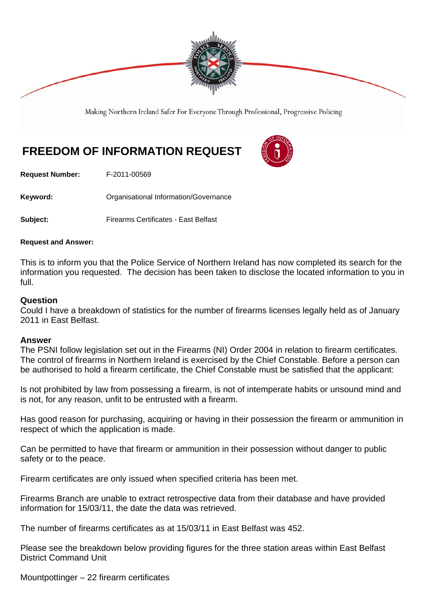

Making Northern Ireland Safer For Everyone Through Professional, Progressive Policing

## **FREEDOM OF INFORMATION REQUEST**

**Request Number:** F-2011-00569

Keyword: **Communistry Communists** Organisational Information/Governance

**Subject:** Firearms Certificates - East Belfast

## **Request and Answer:**

This is to inform you that the Police Service of Northern Ireland has now completed its search for the information you requested. The decision has been taken to disclose the located information to you in full.

## **Question**

Could I have a breakdown of statistics for the number of firearms licenses legally held as of January 2011 in East Belfast.

## **Answer**

The PSNI follow legislation set out in the Firearms (NI) Order 2004 in relation to firearm certificates. The control of firearms in Northern Ireland is exercised by the Chief Constable. Before a person can be authorised to hold a firearm certificate, the Chief Constable must be satisfied that the applicant:

Is not prohibited by law from possessing a firearm, is not of intemperate habits or unsound mind and is not, for any reason, unfit to be entrusted with a firearm.

Has good reason for purchasing, acquiring or having in their possession the firearm or ammunition in respect of which the application is made.

Can be permitted to have that firearm or ammunition in their possession without danger to public safety or to the peace.

Firearm certificates are only issued when specified criteria has been met.

Firearms Branch are unable to extract retrospective data from their database and have provided information for 15/03/11, the date the data was retrieved.

The number of firearms certificates as at 15/03/11 in East Belfast was 452.

Please see the breakdown below providing figures for the three station areas within East Belfast District Command Unit

Mountpottinger – 22 firearm certificates